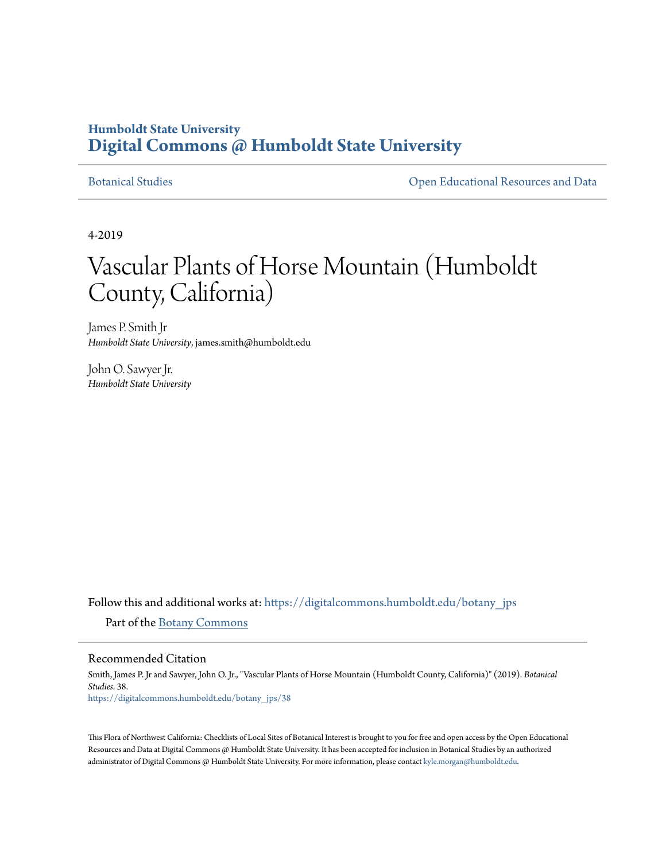## **Humboldt State University [Digital Commons @ Humboldt State University](https://digitalcommons.humboldt.edu?utm_source=digitalcommons.humboldt.edu%2Fbotany_jps%2F38&utm_medium=PDF&utm_campaign=PDFCoverPages)**

[Botanical Studies](https://digitalcommons.humboldt.edu/botany_jps?utm_source=digitalcommons.humboldt.edu%2Fbotany_jps%2F38&utm_medium=PDF&utm_campaign=PDFCoverPages) [Open Educational Resources and Data](https://digitalcommons.humboldt.edu/open_ed?utm_source=digitalcommons.humboldt.edu%2Fbotany_jps%2F38&utm_medium=PDF&utm_campaign=PDFCoverPages)

4-2019

# Vascular Plants of Horse Mountain (Humboldt County, California)

James P. Smith Jr *Humboldt State University*, james.smith@humboldt.edu

John O. Sawyer Jr. *Humboldt State University*

Follow this and additional works at: [https://digitalcommons.humboldt.edu/botany\\_jps](https://digitalcommons.humboldt.edu/botany_jps?utm_source=digitalcommons.humboldt.edu%2Fbotany_jps%2F38&utm_medium=PDF&utm_campaign=PDFCoverPages) Part of the [Botany Commons](http://network.bepress.com/hgg/discipline/104?utm_source=digitalcommons.humboldt.edu%2Fbotany_jps%2F38&utm_medium=PDF&utm_campaign=PDFCoverPages)

#### Recommended Citation

Smith, James P. Jr and Sawyer, John O. Jr., "Vascular Plants of Horse Mountain (Humboldt County, California)" (2019). *Botanical Studies*. 38. [https://digitalcommons.humboldt.edu/botany\\_jps/38](https://digitalcommons.humboldt.edu/botany_jps/38?utm_source=digitalcommons.humboldt.edu%2Fbotany_jps%2F38&utm_medium=PDF&utm_campaign=PDFCoverPages)

This Flora of Northwest California: Checklists of Local Sites of Botanical Interest is brought to you for free and open access by the Open Educational Resources and Data at Digital Commons @ Humboldt State University. It has been accepted for inclusion in Botanical Studies by an authorized administrator of Digital Commons @ Humboldt State University. For more information, please contact [kyle.morgan@humboldt.edu.](mailto:kyle.morgan@humboldt.edu)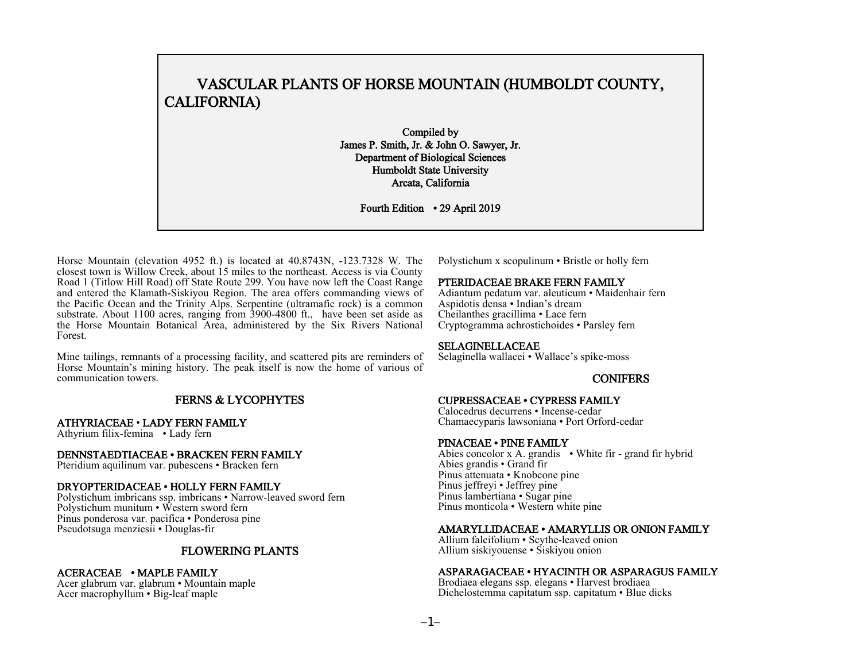### VASCULAR PLANTS OF HORSE MOUNTAIN (HUMBOLDT COUNTY, CALIFORNIA)

 Compiled by James P. Smith, Jr. & John O. Sawyer, Jr. Department of Biological Sciences Humboldt State University Arcata, California

Fourth Edition · 29 April 2019

Horse Mountain (elevation 4952 ft.) is located at 40.8743N, -123.7328 W. The closest town is Willow Creek, about 15 miles to the northeast. Access is via County Road 1 (Titlow Hill Road) off State Route 299. You have now left the Coast Range and entered the Klamath-Siskiyou Region. The area offers commanding views of the Pacific Ocean and the Trinity Alps. Serpentine (ultramafic rock) is a common substrate. About 1100 acres, ranging from 3900-4800 ft., have been set aside as the Horse Mountain Botanical Area, administered by the Six Rivers National Forest.

Mine tailings, remnants of a processing facility, and scattered pits are reminders of Horse Mountain's mining history. The peak itself is now the home of various of communication towers.

### FERNS & LYCOPHYTES

#### ATHYRIACEAE · LADY FERN FAMILY

Athyrium filix-femina · Lady fern

#### DENNSTAEDTIACEAE · BRACKEN FERN FAMILY

Pteridium aquilinum var. pubescens · Bracken fern

#### DRYOPTERIDACEAE · HOLLY FERN FAMILY

Polystichum imbricans ssp. imbricans · Narrow-leaved sword fern Polystichum munitum · Western sword fern Pinus ponderosa var. pacifica · Ponderosa pine Pseudotsuga menziesii · Douglas-fir

### FLOWERING PLANTS

#### ACERACEAE · MAPLE FAMILY

Acer glabrum var. glabrum · Mountain maple Acer macrophyllum · Big-leaf maple

Polystichum x scopulinum · Bristle or holly fern

#### PTERIDACEAE BRAKE FERN FAMILY

Adiantum pedatum var. aleuticum · Maidenhair fern Aspidotis densa · Indian's dream Cheilanthes gracillima · Lace fern Cryptogramma achrostichoides · Parsley fern

#### SELAGINELLACEAE

Selaginella wallacei · Wallace's spike-moss

#### CONIFERS

## CUPRESSACEAE · CYPRESS FAMILY Calocedrus decurrens · Incense-cedar

Chamaecyparis lawsoniana • Port Orford-cedar<br>PINACEAE • PINE FAMILY

Abies concolor x A. grandis • White fir - grand fir hybrid Abies grandis · Grand fir Pinus attenuata · Knobcone pine Pinus jeffreyi • Jeffrey pine Pinus lambertiana · Sugar pine Pinus monticola · Western white pine

#### AMARYLLIDACEAE · AMARYLLIS OR ONION FAMILY

Allium falcifolium · Scythe-leaved onion Allium siskiyouense · Siskiyou onion

#### ASPARAGACEAE · HYACINTH OR ASPARAGUS FAMILY

Brodiaea elegans ssp. elegans · Harvest brodiaea Dichelostemma capitatum ssp. capitatum · Blue dicks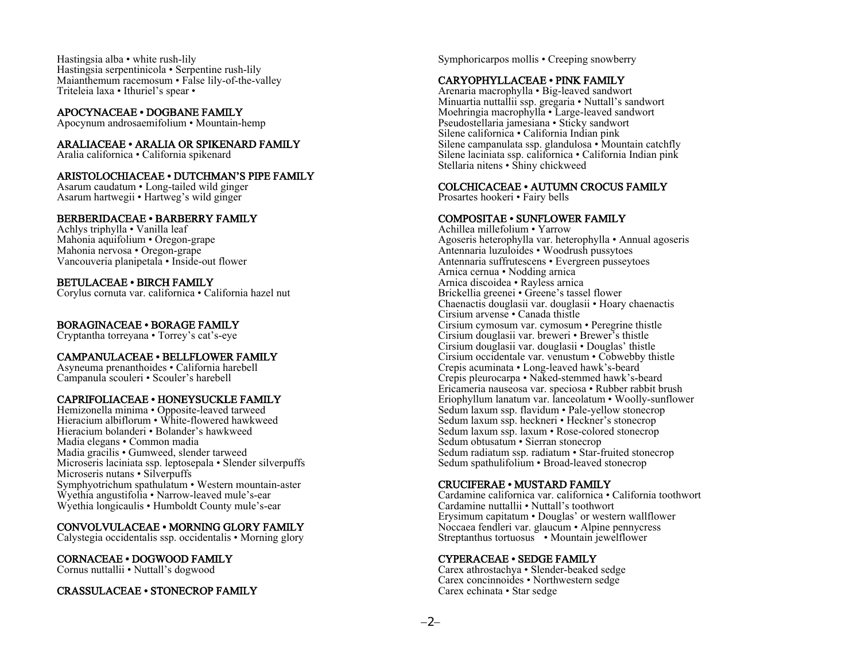Hastingsia alba · white rush-lily Hastingsia serpentinicola · Serpentine rush-lily Maianthemum racemosum · False lily-of-the-valley Triteleia laxa · Ithuriel's spear ·

#### APOCYNACEAE · DOGBANE FAMILY

Apocynum androsaemifolium · Mountain-hemp

#### ARALIACEAE · ARALIA OR SPIKENARD FAMILY

Aralia californica · California spikenard

#### ARISTOLOCHIACEAE · DUTCHMAN'S PIPE FAMILY

Asarum caudatum · Long-tailed wild ginger Asarum hartwegii · Hartweg's wild ginger

#### BERBERIDACEAE · BARBERRY FAMILY

Achlys triphylla · Vanilla leaf Mahonia aquifolium · Oregon-grape Mahonia nervosa · Oregon-grape Vancouveria planipetala · Inside-out flower

#### BETULACEAE · BIRCH FAMILY

Corylus cornuta var. californica · California hazel nut

#### BORAGINACEAE · BORAGE FAMILY

Cryptantha torreyana · Torrey's cat's-eye

#### CAMPANULACEAE · BELLFLOWER FAMILY

Asyneuma prenanthoides · California harebell Campanula scouleri · Scouler's harebell

#### CAPRIFOLIACEAE · HONEYSUCKLE FAMILY

Hemizonella minima · Opposite-leaved tarweed Hieracium albiflorum · White-flowered hawkweed Hieracium bolanderi · Bolander's hawkweed Madia elegans · Common madia Madia gracilis · Gumweed, slender tarweed Microseris laciniata ssp. leptosepala · Slender silverpuffs Microseris nutans · Silverpuffs Symphyotrichum spathulatum · Western mountain-aster Wyethia angustifolia · Narrow-leaved mule's-ear Wyethia longicaulis · Humboldt County mule's-ear

#### CONVOLVULACEAE · MORNING GLORY FAMILY

Calystegia occidentalis ssp. occidentalis · Morning glory

### CORNACEAE · DOGWOOD FAMILY

Cornus nuttallii · Nuttall's dogwood

#### CRASSULACEAE · STONECROP FAMILY

Symphoricarpos mollis · Creeping snowberry

#### CARYOPHYLLACEAE · PINK FAMILY

Arenaria macrophylla · Big-leaved sandwort Minuartia nuttallii ssp. gregaria · Nuttall's sandwort Moehringia macrophylla · Large-leaved sandwort Pseudostellaria jamesiana · Sticky sandwort Silene californica · California Indian pink Silene campanulata ssp. glandulosa · Mountain catchfly Silene laciniata ssp. californica · California Indian pink Stellaria nitens · Shiny chickweed

#### COLCHICACEAE · AUTUMN CROCUS FAMILY

Prosartes hookeri · Fairy bells

#### COMPOSITAE · SUNFLOWER FAMILY

Achillea millefolium · Yarrow Agoseris heterophylla var. heterophylla · Annual agoseris Antennaria luzuloides · Woodrush pussytoes Antennaria suffrutescens · Evergreen pusseytoes Arnica cernua · Nodding arnica Arnica discoidea · Rayless arnica Brickellia greenei · Greene's tassel flower Chaenactis douglasii var. douglasii · Hoary chaenactis Cirsium arvense · Canada thistle Cirsium cymosum var. cymosum · Peregrine thistle Cirsium douglasii var. breweri · Brewer's thistle Cirsium douglasii var. douglasii · Douglas' thistle Cirsium occidentale var. venustum · Cobwebby thistle Crepis acuminata · Long-leaved hawk's-beard Crepis pleurocarpa · Naked-stemmed hawk's-beard Ericameria nauseosa var. speciosa · Rubber rabbit brush Eriophyllum lanatum var. lanceolatum · Woolly-sunflower Sedum laxum ssp. flavidum · Pale-yellow stonecrop Sedum laxum ssp. heckneri · Heckner's stonecrop Sedum laxum ssp. laxum · Rose-colored stonecrop Sedum obtusatum · Sierran stonecrop Sedum radiatum ssp. radiatum · Star-fruited stonecrop Sedum spathulifolium · Broad-leaved stonecrop

#### CRUCIFERAE · MUSTARD FAMILY

Cardamine californica var. californica · California toothwort Cardamine nuttallii · Nuttall's toothwort Erysimum capitatum · Douglas' or western wallflower Noccaea fendleri var. glaucum · Alpine pennycress Streptanthus tortuosus · Mountain jewelflower

#### CYPERACEAE · SEDGE FAMILY

Carex athrostachya · Slender-beaked sedge Carex concinnoides · Northwestern sedge Carex echinata · Star sedge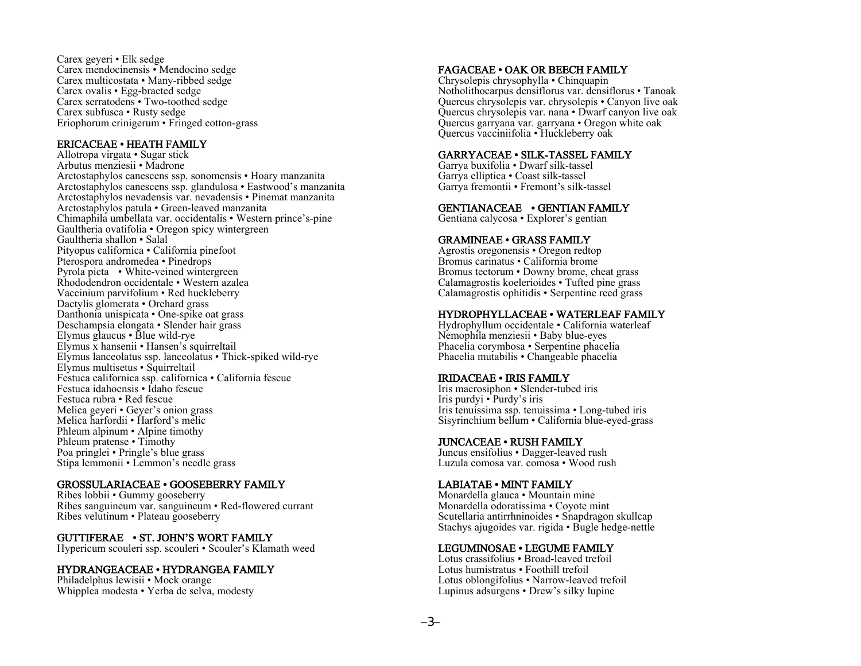Carex geyeri · Elk sedge Carex mendocinensis · Mendocino sedge Carex multicostata · Many-ribbed sedge Carex ovalis · Egg-bracted sedge Carex serratodens · Two-toothed sedge Carex subfusca · Rusty sedge Eriophorum crinigerum · Fringed cotton-grass

#### ERICACEAE · HEATH FAMILY

Allotropa virgata · Sugar stick Arbutus menziesii · Madrone Arctostaphylos canescens ssp. sonomensis · Hoary manzanita Arctostaphylos canescens ssp. glandulosa · Eastwood's manzanita Arctostaphylos nevadensis var. nevadensis · Pinemat manzanita Arctostaphylos patula · Green-leaved manzanita Chimaphila umbellata var. occidentalis · Western prince's-pine Gaultheria ovatifolia · Oregon spicy wintergreen Gaultheria shallon · Salal Pityopus californica · California pinefoot Pterospora andromedea · Pinedrops Pyrola picta · White-veined wintergreen Rhododendron occidentale · Western azalea Vaccinium parvifolium · Red huckleberry Dactylis glomerata • Orchard grass Danthonia unispicata · One-spike oat grass Deschampsia elongata · Slender hair grass Elymus glaucus · Blue wild-rye Elymus x hansenii · Hansen's squirreltail Elymus lanceolatus ssp. lanceolatus · Thick-spiked wild-rye Elymus multisetus · Squirreltail Festuca californica ssp. californica · California fescue Festuca idahoensis · Idaho fescue Festuca rubra · Red fescue Melica geyeri · Geyer's onion grass Melica harfordii · Harford's melic Phleum alpinum · Alpine timothy Phleum pratense · Timothy Poa pringlei · Pringle's blue grass Stipa lemmonii · Lemmon's needle grass

#### GROSSULARIACEAE · GOOSEBERRY FAMILY

Ribes lobbii · Gummy gooseberry Ribes sanguineum var. sanguineum · Red-flowered currant Ribes velutinum · Plateau gooseberry

#### GUTTIFERAE · ST. JOHN'S WORT FAMILY

Hypericum scouleri ssp. scouleri · Scouler's Klamath weed

#### HYDRANGEACEAE · HYDRANGEA FAMILY

Philadelphus lewisii · Mock orange Whipplea modesta · Yerba de selva, modesty

#### FAGACEAE · OAK OR BEECH FAMILY

Chrysolepis chrysophylla · Chinquapin Notholithocarpus densiflorus var. densiflorus · Tanoak Quercus chrysolepis var. chrysolepis · Canyon live oak Quercus chrysolepis var. nana · Dwarf canyon live oak Quercus garryana var. garryana · Oregon white oak Quercus vacciniifolia · Huckleberry oak

#### GARRYACEAE · SILK-TASSEL FAMILY

Garrya buxifolia · Dwarf silk-tassel Garrya elliptica · Coast silk-tassel Garrya fremontii · Fremont's silk-tassel

#### GENTIANACEAE · GENTIAN FAMILY

Gentiana calycosa · Explorer's gentian

#### GRAMINEAE · GRASS FAMILY

Agrostis oregonensis · Oregon redtop Bromus carinatus · California brome Bromus tectorum · Downy brome, cheat grass Calamagrostis koelerioides · Tufted pine grass Calamagrostis ophitidis · Serpentine reed grass

#### HYDROPHYLLACEAE · WATERLEAF FAMILY

Hydrophyllum occidentale · California waterleaf Nemophila menziesii · Baby blue-eyes Phacelia corymbosa · Serpentine phacelia Phacelia mutabilis · Changeable phacelia

#### IRIDACEAE · IRIS FAMILY

Iris macrosiphon · Slender-tubed iris Iris purdyi · Purdy's iris Iris tenuissima ssp. tenuissima · Long-tubed iris Sisyrinchium bellum · California blue-eyed-grass

#### JUNCACEAE · RUSH FAMILY

Juncus ensifolius · Dagger-leaved rush Luzula comosa var. comosa · Wood rush

#### LABIATAE · MINT FAMILY

Monardella glauca · Mountain mine Monardella odoratissima · Coyote mint Scutellaria antirrhninoides · Snapdragon skullcap Stachys ajugoides var. rigida · Bugle hedge-nettle

#### LEGUMINOSAE · LEGUME FAMILY

Lotus crassifolius · Broad-leaved trefoil Lotus humistratus · Foothill trefoil Lotus oblongifolius · Narrow-leaved trefoil Lupinus adsurgens · Drew's silky lupine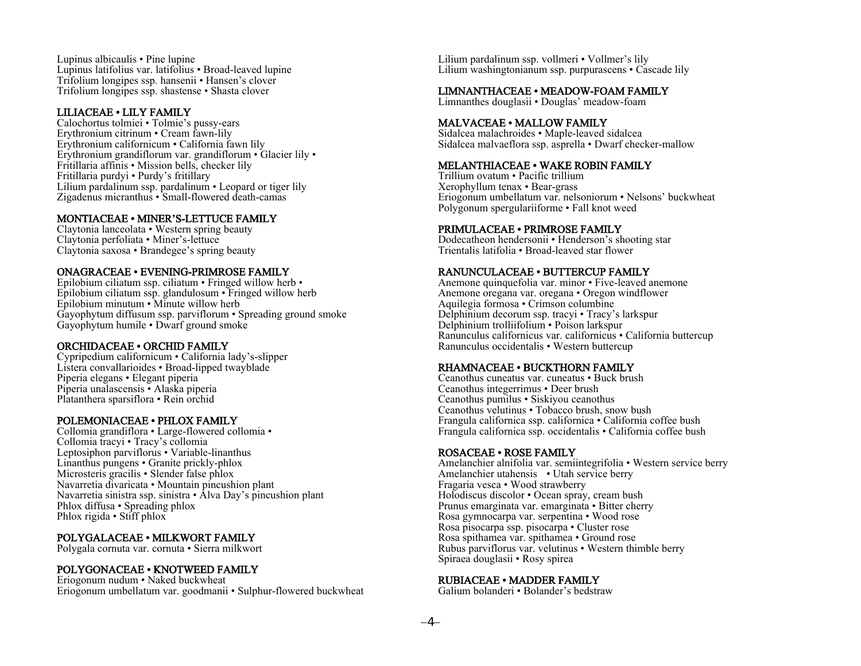Lupinus albicaulis · Pine lupine Lupinus latifolius var. latifolius · Broad-leaved lupine Trifolium longipes ssp. hansenii · Hansen's clover Trifolium longipes ssp. shastense · Shasta clover

#### LILIACEAE · LILY FAMILY

Calochortus tolmiei · Tolmie's pussy-ears Erythronium citrinum · Cream fawn-lily Erythronium californicum · California fawn lily Erythronium grandiflorum var. grandiflorum · Glacier lily · Fritillaria affinis · Mission bells, checker lily Fritillaria purdyi · Purdy's fritillary Lilium pardalinum ssp. pardalinum · Leopard or tiger lily Zigadenus micranthus · Small-flowered death-camas

#### MONTIACEAE · MINER'S-LETTUCE FAMILY

Claytonia lanceolata · Western spring beauty Claytonia perfoliata · Miner's-lettuce Claytonia saxosa · Brandegee's spring beauty

#### ONAGRACEAE · EVENING-PRIMROSE FAMILY

Epilobium ciliatum ssp. ciliatum · Fringed willow herb · Epilobium ciliatum ssp. glandulosum · Fringed willow herb Epilobium minutum · Minute willow herb Gayophytum diffusum ssp. parviflorum · Spreading ground smoke Gayophytum humile · Dwarf ground smoke

#### ORCHIDACEAE · ORCHID FAMILY

Cypripedium californicum · California lady's-slipper Listera convallarioides · Broad-lipped twayblade Piperia elegans · Elegant piperia Piperia unalascensis · Alaska piperia Platanthera sparsiflora · Rein orchid

### POLEMONIACEAE · PHLOX FAMILY

Collomia grandiflora · Large-flowered collomia · Collomia tracyi · Tracy's collomia Leptosiphon parviflorus · Variable-linanthus Linanthus pungens · Granite prickly-phlox Microsteris gracilis · Slender false phlox Navarretia divaricata · Mountain pincushion plant Navarretia sinistra ssp. sinistra · Alva Day's pincushion plant Phlox diffusa · Spreading phlox Phlox rigida · Stiff phlox

### POLYGALACEAE · MILKWORT FAMILY

Polygala cornuta var. cornuta · Sierra milkwort

#### POLYGONACEAE · KNOTWEED FAMILY

Eriogonum nudum · Naked buckwheat Eriogonum umbellatum var. goodmanii · Sulphur-flowered buckwheat Lilium pardalinum ssp. vollmeri · Vollmer's lily Lilium washingtonianum ssp. purpurascens • Cascade lily

#### LIMNANTHACEAE · MEADOW-FOAM FAMILY

Limnanthes douglasii · Douglas' meadow-foam

#### MALVACEAE · MALLOW FAMILY

Sidalcea malachroides · Maple-leaved sidalcea Sidalcea malvaeflora ssp. asprella · Dwarf checker-mallow

#### MELANTHIACEAE · WAKE ROBIN FAMILY

Trillium ovatum · Pacific trillium Xerophyllum tenax · Bear-grass Eriogonum umbellatum var. nelsoniorum · Nelsons' buckwheat Polygonum spergulariiforme · Fall knot weed

#### PRIMULACEAE · PRIMROSE FAMILY

Dodecatheon hendersonii · Henderson's shooting star Trientalis latifolia · Broad-leaved star flower

#### RANUNCULACEAE · BUTTERCUP FAMILY

Anemone quinquefolia var. minor · Five-leaved anemone Anemone oregana var. oregana · Oregon windflower Aquilegia formosa · Crimson columbine Delphinium decorum ssp. tracyi · Tracy's larkspur Delphinium trolliifolium · Poison larkspur Ranunculus californicus var. californicus · California buttercup Ranunculus occidentalis · Western buttercup

#### RHAMNACEAE · BUCKTHORN FAMILY

Ceanothus cuneatus var. cuneatus · Buck brush Ceanothus integerrimus · Deer brush Ceanothus pumilus · Siskiyou ceanothus Ceanothus velutinus · Tobacco brush, snow bush Frangula californica ssp. californica · California coffee bush Frangula californica ssp. occidentalis · California coffee bush

#### ROSACEAE · ROSE FAMILY

Amelanchier alnifolia var. semiintegrifolia · Western service berry Amelanchier utahensis • Utah service berry Fragaria vesca · Wood strawberry Holodiscus discolor · Ocean spray, cream bush Prunus emarginata var. emarginata · Bitter cherry Rosa gymnocarpa var. serpentina · Wood rose Rosa pisocarpa ssp. pisocarpa · Cluster rose Rosa spithamea var. spithamea · Ground rose Rubus parviflorus var. velutinus · Western thimble berry Spiraea douglasii · Rosy spirea

#### RUBIACEAE · MADDER FAMILY

Galium bolanderi · Bolander's bedstraw